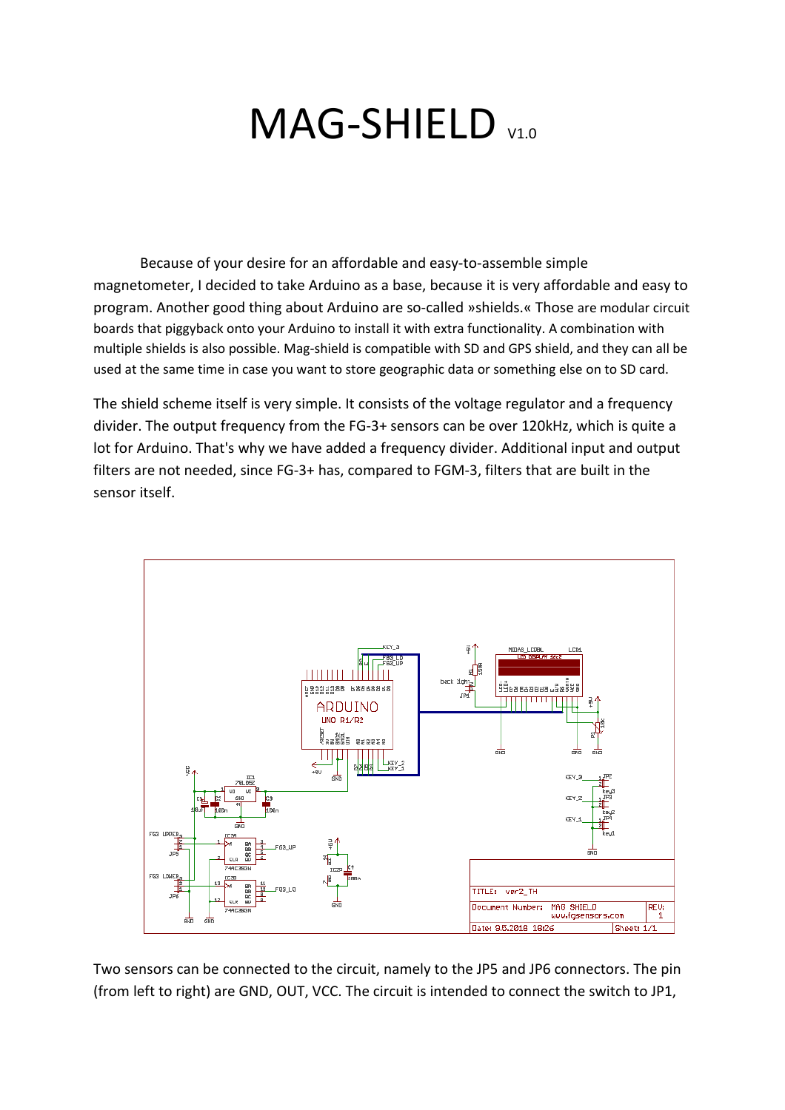## MAG-SHIELD V1.0

Because of your desire for an affordable and easy-to-assemble simple magnetometer, I decided to take Arduino as a base, because it is very affordable and easy to program. Another good thing about Arduino are so-called »shields.« Those are modular circuit boards that piggyback onto your Arduino to install it with extra functionality. A combination with multiple shields is also possible. Mag-shield is compatible with SD and GPS shield, and they can all be used at the same time in case you want to store geographic data or something else on to SD card.

The shield scheme itself is very simple. It consists of the voltage regulator and a frequency divider. The output frequency from the FG-3+ sensors can be over 120kHz, which is quite a lot for Arduino. That's why we have added a frequency divider. Additional input and output filters are not needed, since FG-3+ has, compared to FGM-3, filters that are built in the sensor itself.



Two sensors can be connected to the circuit, namely to the JP5 and JP6 connectors. The pin (from left to right) are GND, OUT, VCC. The circuit is intended to connect the switch to JP1,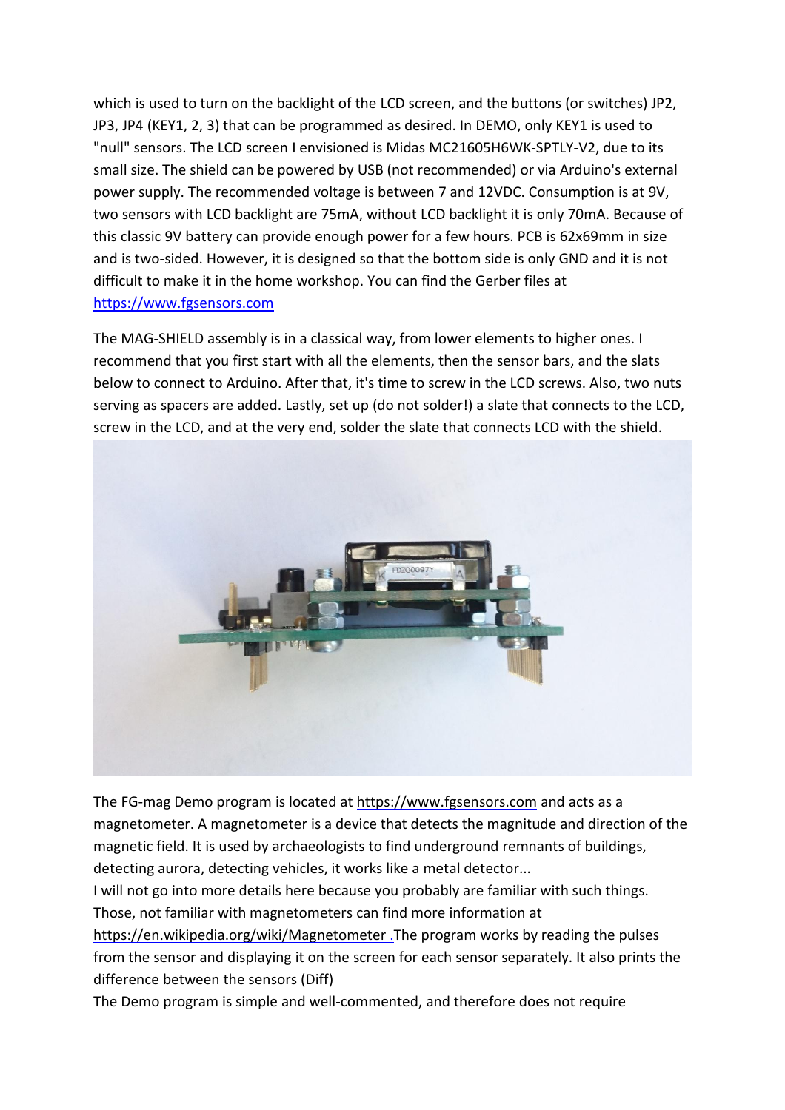which is used to turn on the backlight of the LCD screen, and the buttons (or switches) JP2, JP3, JP4 (KEY1, 2, 3) that can be programmed as desired. In DEMO, only KEY1 is used to "null" sensors. The LCD screen I envisioned is Midas MC21605H6WK-SPTLY-V2, due to its small size. The shield can be powered by USB (not recommended) or via Arduino's external power supply. The recommended voltage is between 7 and 12VDC. Consumption is at 9V, two sensors with LCD backlight are 75mA, without LCD backlight it is only 70mA. Because of this classic 9V battery can provide enough power for a few hours. PCB is 62x69mm in size and is two-sided. However, it is designed so that the bottom side is only GND and it is not difficult to make it in the home workshop. You can find the Gerber files at [https://www.fgsensors.com](https://www.fgsensors.com/)

The MAG-SHIELD assembly is in a classical way, from lower elements to higher ones. I recommend that you first start with all the elements, then the sensor bars, and the slats below to connect to Arduino. After that, it's time to screw in the LCD screws. Also, two nuts serving as spacers are added. Lastly, set up (do not solder!) a slate that connects to the LCD, screw in the LCD, and at the very end, solder the slate that connects LCD with the shield.



The FG-mag Demo program is located at [https://www.fgsensors.com](https://www.fgsensors.com/) and acts as a magnetometer. A magnetometer is a device that detects the magnitude and direction of the magnetic field. It is used by archaeologists to find underground remnants of buildings, detecting aurora, detecting vehicles, it works like a metal detector...

I will not go into more details here because you probably are familiar with such things. Those, not familiar with magnetometers can find more information at

<https://en.wikipedia.org/wiki/Magnetometer> .The program works by reading the pulses from the sensor and displaying it on the screen for each sensor separately. It also prints the difference between the sensors (Diff)

The Demo program is simple and well-commented, and therefore does not require